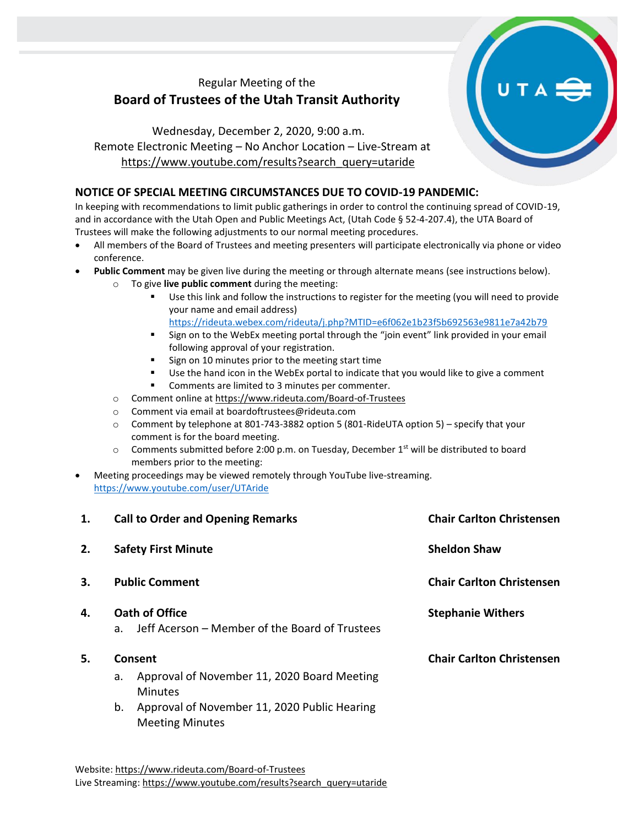# Regular Meeting of the **Board of Trustees of the Utah Transit Authority**

# Wednesday, December 2, 2020, 9:00 a.m. Remote Electronic Meeting – No Anchor Location – Live-Stream at [https://www.youtube.com/results?search\\_query=utaride](https://www.youtube.com/results?search_query=utaride)

## **NOTICE OF SPECIAL MEETING CIRCUMSTANCES DUE TO COVID-19 PANDEMIC:**

In keeping with recommendations to limit public gatherings in order to control the continuing spread of COVID-19, and in accordance with the Utah Open and Public Meetings Act, (Utah Code § 52-4-207.4), the UTA Board of Trustees will make the following adjustments to our normal meeting procedures.

- All members of the Board of Trustees and meeting presenters will participate electronically via phone or video conference.
- **Public Comment** may be given live during the meeting or through alternate means (see instructions below).
	- o To give **live public comment** during the meeting:
		- Use this link and follow the instructions to register for the meeting (you will need to provide your name and email address) <https://rideuta.webex.com/rideuta/j.php?MTID=e6f062e1b23f5b692563e9811e7a42b79>
		- Sign on to the WebEx meeting portal through the "join event" link provided in your email following approval of your registration.
		- Sign on 10 minutes prior to the meeting start time
		- Use the hand icon in the WebEx portal to indicate that you would like to give a comment
		- Comments are limited to 3 minutes per commenter.
	- o Comment online a[t https://www.rideuta.com/Board-of-Trustees](https://www.rideuta.com/Board-of-Trustees)
	- o Comment via email at [boardoftrustees@rideuta.com](mailto:boardoftrustees@rideuta.com)
	- o Comment by telephone at 801-743-3882 option 5 (801-RideUTA option 5) specify that your comment is for the board meeting.
	- $\circ$  Comments submitted before 2:00 p.m. on Tuesday, December 1<sup>st</sup> will be distributed to board members prior to the meeting:
- Meeting proceedings may be viewed remotely through YouTube live-streaming. <https://www.youtube.com/user/UTAride>

| 1. | <b>Call to Order and Opening Remarks</b>                                           | <b>Chair Carlton Christensen</b> |
|----|------------------------------------------------------------------------------------|----------------------------------|
| 2. | <b>Safety First Minute</b>                                                         | <b>Sheldon Shaw</b>              |
| 3. | <b>Public Comment</b>                                                              | <b>Chair Carlton Christensen</b> |
| 4. | Oath of Office<br>Jeff Acerson - Member of the Board of Trustees<br>a <sub>z</sub> | <b>Stephanie Withers</b>         |
| 5. | Consent                                                                            | <b>Chair Carlton Christensen</b> |
|    | Approval of November 11, 2020 Board Meeting<br>a.<br><b>Minutes</b>                |                                  |
|    | Approval of November 11, 2020 Public Hearing<br>b.<br><b>Meeting Minutes</b>       |                                  |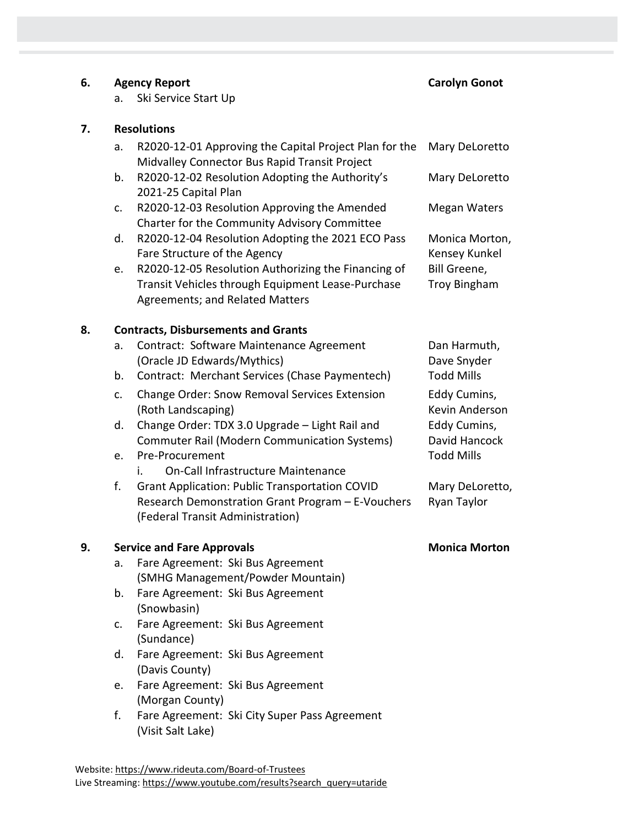#### **6. Agency Report Carolyn Gonot**

Megan Waters

Monica Morton, Kensey Kunkel

Bill Greene, Troy Bingham

Dan Harmuth, Dave Snyder

Eddy Cumins, Kevin Anderson

Eddy Cumins, David Hancock

Mary DeLoretto, Ryan Taylor

a. Ski Service Start Up

## **7. Resolutions**

| a. R2020-12-01 Approving the Capital Project Plan for the Mary DeLoretto |                |
|--------------------------------------------------------------------------|----------------|
| Midvalley Connector Bus Rapid Transit Project                            |                |
| b. R2020-12-02 Resolution Adopting the Authority's                       | Mary DeLoretto |

- b. R2020-12-02 Resolution Adopting the Authority's 2021-25 Capital Plan
- c. R2020-12-03 Resolution Approving the Amended Charter for the Community Advisory Committee
- d. R2020-12-04 Resolution Adopting the 2021 ECO Pass Fare Structure of the Agency
- e. R2020-12-05 Resolution Authorizing the Financing of Transit Vehicles through Equipment Lease-Purchase Agreements; and Related Matters

## **8. Contracts, Disbursements and Grants**

- a. Contract: Software Maintenance Agreement (Oracle JD Edwards/Mythics)
- b. Contract: Merchant Services (Chase Paymentech) Todd Mills
- c. Change Order: Snow Removal Services Extension (Roth Landscaping)
- d. Change Order: TDX 3.0 Upgrade Light Rail and Commuter Rail (Modern Communication Systems)
- e. Pre-Procurement Todd Mills
	- i. On-Call Infrastructure Maintenance
- f. Grant Application: Public Transportation COVID Research Demonstration Grant Program – E-Vouchers (Federal Transit Administration)

### **9. Service and Fare Approvals Monica Morton**

- a. Fare Agreement: Ski Bus Agreement (SMHG Management/Powder Mountain)
- b. Fare Agreement: Ski Bus Agreement (Snowbasin)
- c. Fare Agreement: Ski Bus Agreement (Sundance)
- d. Fare Agreement: Ski Bus Agreement (Davis County)
- e. Fare Agreement: Ski Bus Agreement (Morgan County)
- f. Fare Agreement: Ski City Super Pass Agreement (Visit Salt Lake)